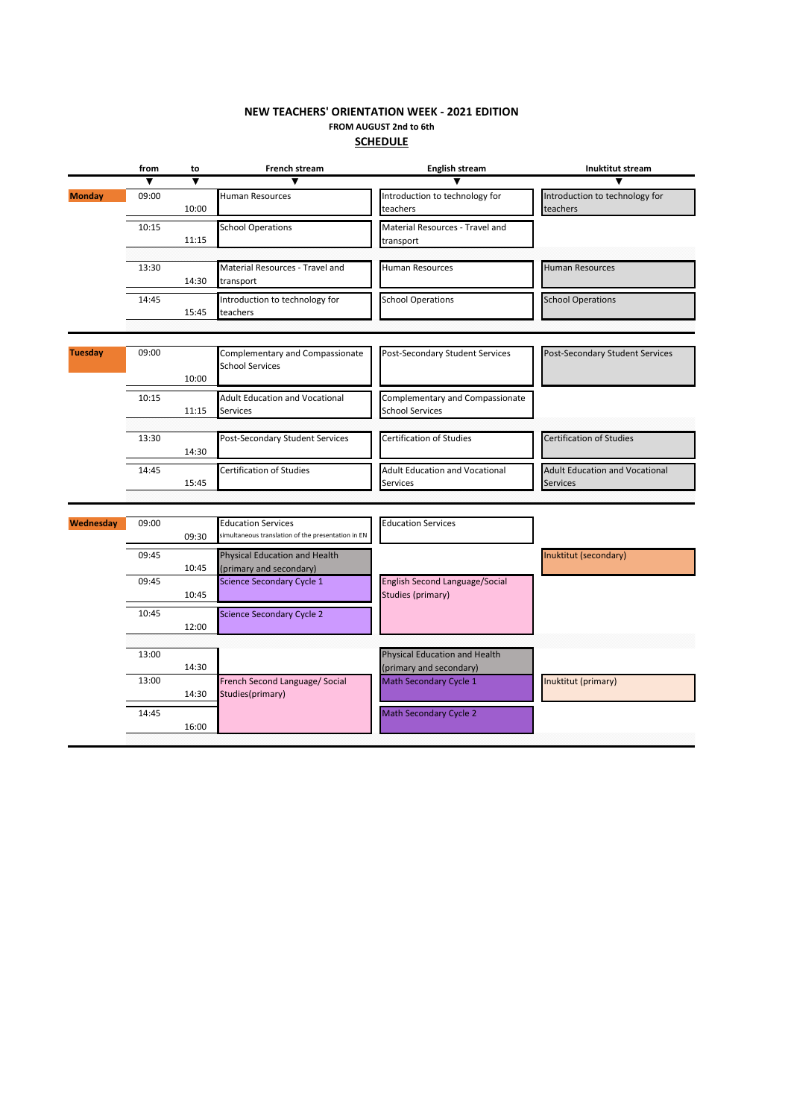## **SCHEDULE FROM AUGUST 2nd to 6th NEW TEACHERS' ORIENTATION WEEK - 2021 EDITION**

| $\blacktriangledown$<br>Introduction to technology for<br><b>Monday</b><br>09:00<br><b>Human Resources</b><br>10:00<br>teachers             | Introduction to technology for<br>teachers               |
|---------------------------------------------------------------------------------------------------------------------------------------------|----------------------------------------------------------|
|                                                                                                                                             |                                                          |
|                                                                                                                                             |                                                          |
| <b>School Operations</b><br>Material Resources - Travel and<br>10:15<br>11:15<br>transport                                                  |                                                          |
|                                                                                                                                             |                                                          |
| 13:30<br>Material Resources - Travel and<br>Human Resources<br>14:30<br>transport                                                           | <b>Human Resources</b>                                   |
| 14:45<br>Introduction to technology for<br><b>School Operations</b><br>15:45<br>teachers                                                    | <b>School Operations</b>                                 |
|                                                                                                                                             |                                                          |
| Complementary and Compassionate<br><b>Tuesday</b><br>Post-Secondary Student Services<br>09:00<br><b>School Services</b><br>10:00            | Post-Secondary Student Services                          |
| <b>Adult Education and Vocational</b><br>Complementary and Compassionate<br>10:15<br><b>School Services</b><br>11:15<br>Services            |                                                          |
|                                                                                                                                             |                                                          |
| Certification of Studies<br>Post-Secondary Student Services<br>13:30<br>14:30                                                               | Certification of Studies                                 |
| 14:45<br><b>Certification of Studies</b><br><b>Adult Education and Vocational</b><br>15:45<br>Services                                      | <b>Adult Education and Vocational</b><br><b>Services</b> |
|                                                                                                                                             |                                                          |
| <b>Education Services</b><br>Wednesday<br>09:00<br><b>Education Services</b><br>simultaneous translation of the presentation in EN<br>09:30 |                                                          |
| Physical Education and Health<br>09:45<br>(primary and secondary)<br>10:45                                                                  | Inuktitut (secondary)                                    |
| English Second Language/Social<br>Science Secondary Cycle 1<br>09:45<br>Studies (primary)<br>10:45                                          |                                                          |
| <b>Science Secondary Cycle 2</b><br>10:45<br>12:00                                                                                          |                                                          |
|                                                                                                                                             |                                                          |
| Physical Education and Health<br>13:00<br>14:30<br>(primary and secondary)                                                                  |                                                          |
| 13:00<br>French Second Language/ Social<br>Math Secondary Cycle 1<br>Studies(primary)<br>14:30                                              | Inuktitut (primary)                                      |
| 14:45<br><b>Math Secondary Cycle 2</b><br>16:00                                                                                             |                                                          |